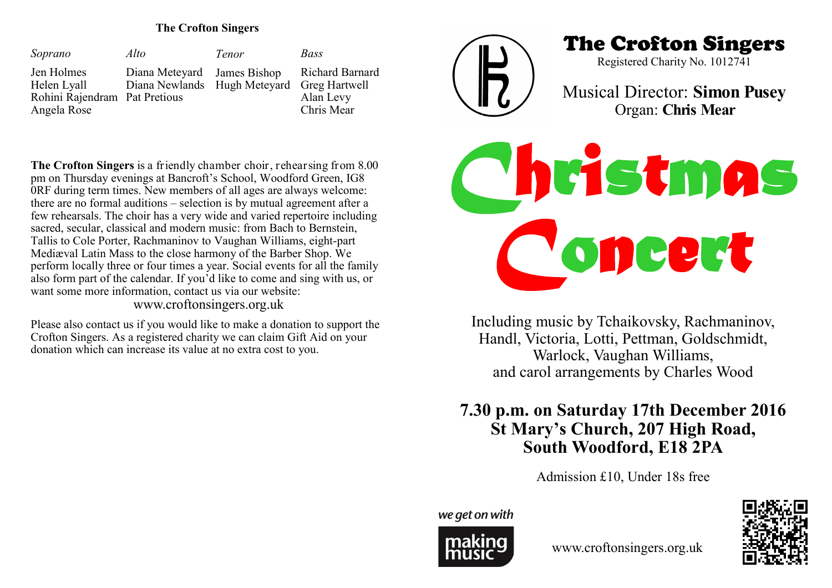### **The Crofton Singers**

| Soprano                                                                   | Alto                                                                      | <b>Tenor</b> | Bass                                              |
|---------------------------------------------------------------------------|---------------------------------------------------------------------------|--------------|---------------------------------------------------|
| Jen Holmes<br>Helen Lyall<br>Rohini Rajendram Pat Pretious<br>Angela Rose | Diana Meteyard James Bishop<br>Diana Newlands Hugh Meteyard Greg Hartwell |              | <b>Richard Barnard</b><br>Alan Levy<br>Chris Mear |



The Crofton Singers

Registered Charity No. 1012741

Musical Director: **Simon Pusey** Organ: **Chris Mear**

**The Crofton Singers** is a friendly chamber choir, rehearsing from 8.00 pm on Thursday evenings at Bancroft's School, Woodford Green, IG8 0RF during term times. New members of all ages are always welcome: there are no formal auditions – selection is by mutual agreement after a few rehearsals. The choir has a very wide and varied repertoire including sacred, secular, classical and modern music: from Bach to Bernstein, Tallis to Cole Porter, Rachmaninov to Vaughan Williams, eight-part Mediæval Latin Mass to the close harmony of the Barber Shop. We perform locally three or four times a year. Social events for all the family also form part of the calendar. If you'd like to come and sing with us, or want some more information, contact us via our website:

www.croftonsingers.org.uk

Please also contact us if you would like to make a donation to support the Crofton Singers. As a registered charity we can claim Gift Aid on your donation which can increase its value at no extra cost to you.

*Christmas Concert* 

Including music by Tchaikovsky, Rachmaninov, Handl, Victoria, Lotti, Pettman, Goldschmidt, Warlock, Vaughan Williams, and carol arrangements by Charles Wood

# **7.30 p.m. on Saturday 17th December 2016 St Mary's Church, 207 High Road, South Woodford, E18 2PA**

Admission £10, Under 18s free

we get on with



www.croftonsingers.org.uk